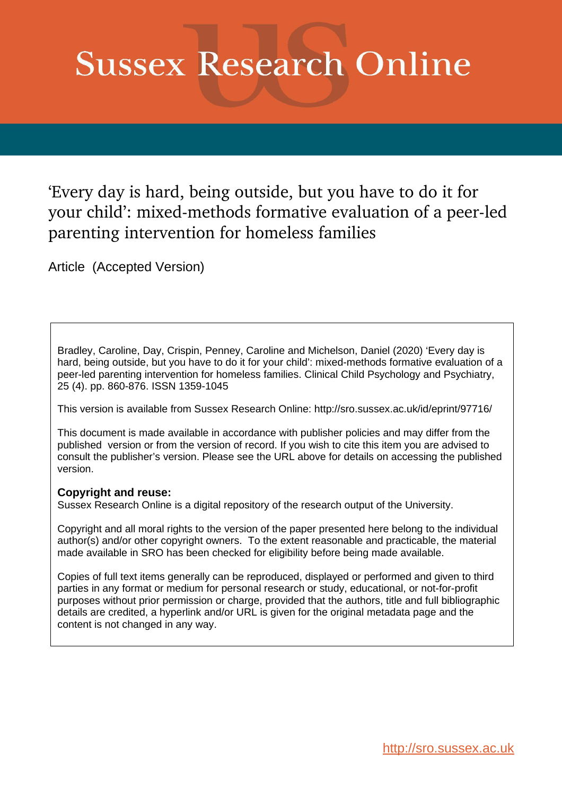# **Sussex Research Online**

'Every day is hard, being outside, but you have to do it for your child': mixed-methods formative evaluation of a peer-led parenting intervention for homeless families

Article (Accepted Version)

Bradley, Caroline, Day, Crispin, Penney, Caroline and Michelson, Daniel (2020) 'Every day is hard, being outside, but you have to do it for your child': mixed-methods formative evaluation of a peer-led parenting intervention for homeless families. Clinical Child Psychology and Psychiatry, 25 (4). pp. 860-876. ISSN 1359-1045

This version is available from Sussex Research Online: http://sro.sussex.ac.uk/id/eprint/97716/

This document is made available in accordance with publisher policies and may differ from the published version or from the version of record. If you wish to cite this item you are advised to consult the publisher's version. Please see the URL above for details on accessing the published version.

# **Copyright and reuse:**

Sussex Research Online is a digital repository of the research output of the University.

Copyright and all moral rights to the version of the paper presented here belong to the individual author(s) and/or other copyright owners. To the extent reasonable and practicable, the material made available in SRO has been checked for eligibility before being made available.

Copies of full text items generally can be reproduced, displayed or performed and given to third parties in any format or medium for personal research or study, educational, or not-for-profit purposes without prior permission or charge, provided that the authors, title and full bibliographic details are credited, a hyperlink and/or URL is given for the original metadata page and the content is not changed in any way.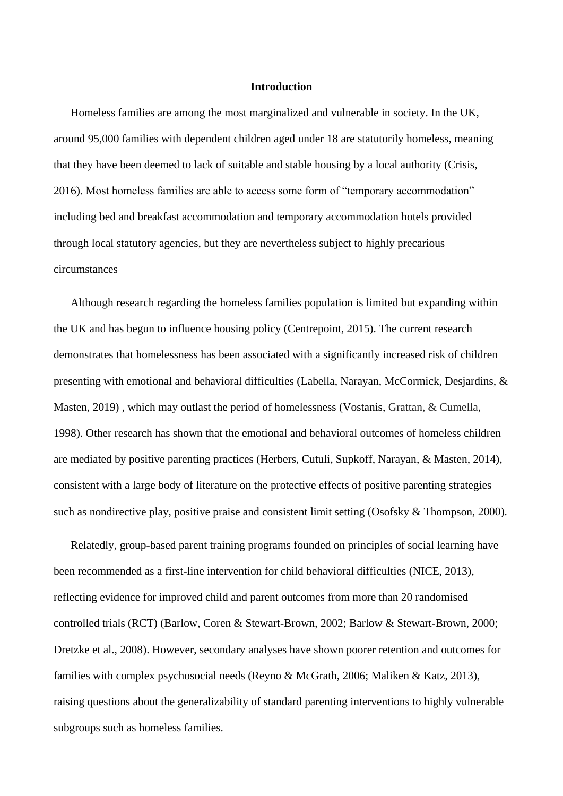#### **Introduction**

Homeless families are among the most marginalized and vulnerable in society. In the UK, around 95,000 families with dependent children aged under 18 are statutorily homeless, meaning that they have been deemed to lack of suitable and stable housing by a local authority (Crisis, 2016). Most homeless families are able to access some form of "temporary accommodation" including bed and breakfast accommodation and temporary accommodation hotels provided through local statutory agencies, but they are nevertheless subject to highly precarious circumstances

Although research regarding the homeless families population is limited but expanding within the UK and has begun to influence housing policy (Centrepoint, 2015). The current research demonstrates that homelessness has been associated with a significantly increased risk of children presenting with emotional and behavioral difficulties (Labella, Narayan, McCormick, Desjardins, & Masten, 2019) , which may outlast the period of homelessness (Vostanis, Grattan, & Cumella, 1998). Other research has shown that the emotional and behavioral outcomes of homeless children are mediated by positive parenting practices (Herbers, Cutuli, Supkoff, Narayan, & Masten, 2014), consistent with a large body of literature on the protective effects of positive parenting strategies such as nondirective play, positive praise and consistent limit setting (Osofsky & Thompson, 2000).

Relatedly, group-based parent training programs founded on principles of social learning have been recommended as a first-line intervention for child behavioral difficulties (NICE, 2013), reflecting evidence for improved child and parent outcomes from more than 20 randomised controlled trials (RCT) (Barlow, Coren & Stewart-Brown, 2002; Barlow & Stewart-Brown, 2000; Dretzke et al., 2008). However, secondary analyses have shown poorer retention and outcomes for families with complex psychosocial needs (Reyno & McGrath, 2006; Maliken & Katz, 2013), raising questions about the generalizability of standard parenting interventions to highly vulnerable subgroups such as homeless families.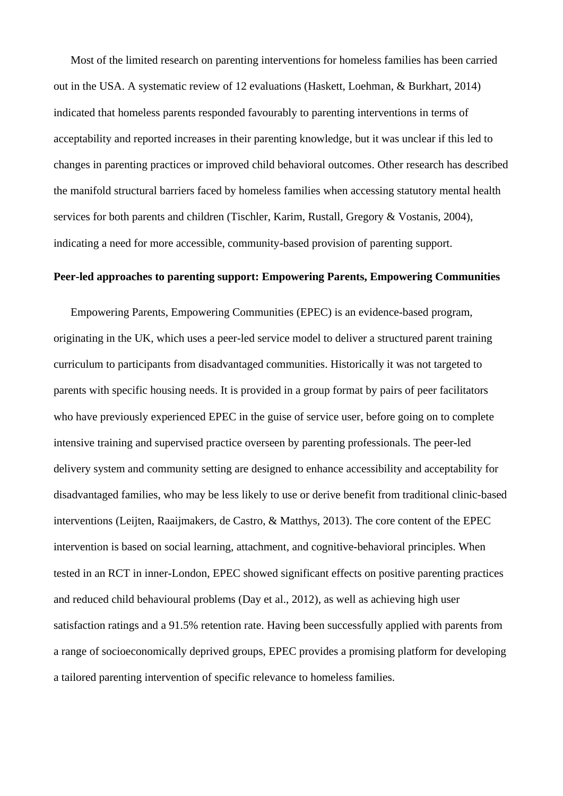Most of the limited research on parenting interventions for homeless families has been carried out in the USA. A systematic review of 12 evaluations (Haskett, Loehman, & Burkhart, 2014) indicated that homeless parents responded favourably to parenting interventions in terms of acceptability and reported increases in their parenting knowledge, but it was unclear if this led to changes in parenting practices or improved child behavioral outcomes. Other research has described the manifold structural barriers faced by homeless families when accessing statutory mental health services for both parents and children (Tischler, Karim, Rustall, Gregory & Vostanis, 2004), indicating a need for more accessible, community-based provision of parenting support.

## **Peer-led approaches to parenting support: Empowering Parents, Empowering Communities**

Empowering Parents, Empowering Communities (EPEC) is an evidence-based program, originating in the UK, which uses a peer-led service model to deliver a structured parent training curriculum to participants from disadvantaged communities. Historically it was not targeted to parents with specific housing needs. It is provided in a group format by pairs of peer facilitators who have previously experienced EPEC in the guise of service user, before going on to complete intensive training and supervised practice overseen by parenting professionals. The peer-led delivery system and community setting are designed to enhance accessibility and acceptability for disadvantaged families, who may be less likely to use or derive benefit from traditional clinic-based interventions (Leijten, Raaijmakers, de Castro, & Matthys, 2013). The core content of the EPEC intervention is based on social learning, attachment, and cognitive-behavioral principles. When tested in an RCT in inner-London, EPEC showed significant effects on positive parenting practices and reduced child behavioural problems (Day et al., 2012), as well as achieving high user satisfaction ratings and a 91.5% retention rate. Having been successfully applied with parents from a range of socioeconomically deprived groups, EPEC provides a promising platform for developing a tailored parenting intervention of specific relevance to homeless families.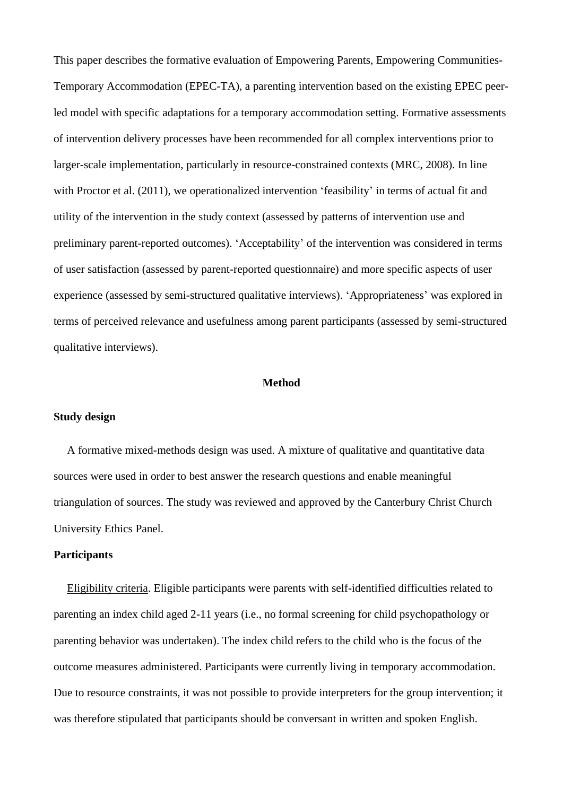This paper describes the formative evaluation of Empowering Parents, Empowering Communities-Temporary Accommodation (EPEC-TA), a parenting intervention based on the existing EPEC peerled model with specific adaptations for a temporary accommodation setting. Formative assessments of intervention delivery processes have been recommended for all complex interventions prior to larger-scale implementation, particularly in resource-constrained contexts (MRC, 2008). In line with Proctor et al. (2011), we operationalized intervention 'feasibility' in terms of actual fit and utility of the intervention in the study context (assessed by patterns of intervention use and preliminary parent-reported outcomes). 'Acceptability' of the intervention was considered in terms of user satisfaction (assessed by parent-reported questionnaire) and more specific aspects of user experience (assessed by semi-structured qualitative interviews). 'Appropriateness' was explored in terms of perceived relevance and usefulness among parent participants (assessed by semi-structured qualitative interviews).

## **Method**

#### **Study design**

A formative mixed-methods design was used. A mixture of qualitative and quantitative data sources were used in order to best answer the research questions and enable meaningful triangulation of sources. The study was reviewed and approved by the Canterbury Christ Church University Ethics Panel.

# **Participants**

Eligibility criteria. Eligible participants were parents with self-identified difficulties related to parenting an index child aged 2-11 years (i.e., no formal screening for child psychopathology or parenting behavior was undertaken). The index child refers to the child who is the focus of the outcome measures administered. Participants were currently living in temporary accommodation. Due to resource constraints, it was not possible to provide interpreters for the group intervention; it was therefore stipulated that participants should be conversant in written and spoken English.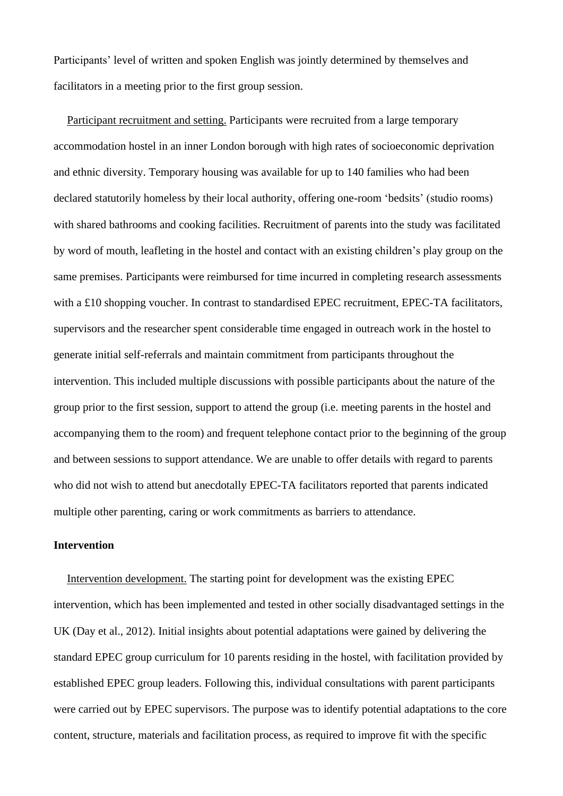Participants' level of written and spoken English was jointly determined by themselves and facilitators in a meeting prior to the first group session.

Participant recruitment and setting. Participants were recruited from a large temporary accommodation hostel in an inner London borough with high rates of socioeconomic deprivation and ethnic diversity. Temporary housing was available for up to 140 families who had been declared statutorily homeless by their local authority, offering one-room 'bedsits' (studio rooms) with shared bathrooms and cooking facilities. Recruitment of parents into the study was facilitated by word of mouth, leafleting in the hostel and contact with an existing children's play group on the same premises. Participants were reimbursed for time incurred in completing research assessments with a £10 shopping voucher. In contrast to standardised EPEC recruitment, EPEC-TA facilitators, supervisors and the researcher spent considerable time engaged in outreach work in the hostel to generate initial self-referrals and maintain commitment from participants throughout the intervention. This included multiple discussions with possible participants about the nature of the group prior to the first session, support to attend the group (i.e. meeting parents in the hostel and accompanying them to the room) and frequent telephone contact prior to the beginning of the group and between sessions to support attendance. We are unable to offer details with regard to parents who did not wish to attend but anecdotally EPEC-TA facilitators reported that parents indicated multiple other parenting, caring or work commitments as barriers to attendance.

# **Intervention**

Intervention development. The starting point for development was the existing EPEC intervention, which has been implemented and tested in other socially disadvantaged settings in the UK (Day et al., 2012). Initial insights about potential adaptations were gained by delivering the standard EPEC group curriculum for 10 parents residing in the hostel, with facilitation provided by established EPEC group leaders. Following this, individual consultations with parent participants were carried out by EPEC supervisors. The purpose was to identify potential adaptations to the core content, structure, materials and facilitation process, as required to improve fit with the specific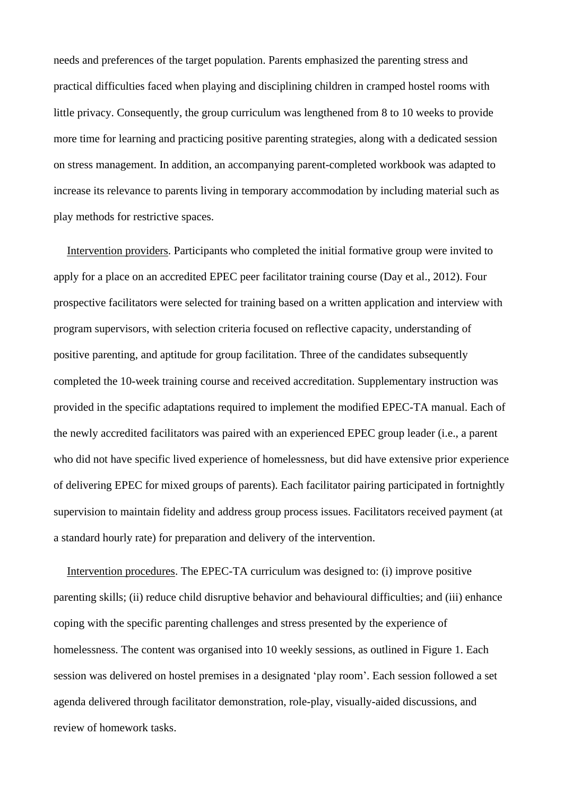needs and preferences of the target population. Parents emphasized the parenting stress and practical difficulties faced when playing and disciplining children in cramped hostel rooms with little privacy. Consequently, the group curriculum was lengthened from 8 to 10 weeks to provide more time for learning and practicing positive parenting strategies, along with a dedicated session on stress management. In addition, an accompanying parent-completed workbook was adapted to increase its relevance to parents living in temporary accommodation by including material such as play methods for restrictive spaces.

Intervention providers. Participants who completed the initial formative group were invited to apply for a place on an accredited EPEC peer facilitator training course (Day et al., 2012). Four prospective facilitators were selected for training based on a written application and interview with program supervisors, with selection criteria focused on reflective capacity, understanding of positive parenting, and aptitude for group facilitation. Three of the candidates subsequently completed the 10-week training course and received accreditation. Supplementary instruction was provided in the specific adaptations required to implement the modified EPEC-TA manual. Each of the newly accredited facilitators was paired with an experienced EPEC group leader (i.e., a parent who did not have specific lived experience of homelessness, but did have extensive prior experience of delivering EPEC for mixed groups of parents). Each facilitator pairing participated in fortnightly supervision to maintain fidelity and address group process issues. Facilitators received payment (at a standard hourly rate) for preparation and delivery of the intervention.

Intervention procedures. The EPEC-TA curriculum was designed to: (i) improve positive parenting skills; (ii) reduce child disruptive behavior and behavioural difficulties; and (iii) enhance coping with the specific parenting challenges and stress presented by the experience of homelessness. The content was organised into 10 weekly sessions, as outlined in Figure 1. Each session was delivered on hostel premises in a designated 'play room'. Each session followed a set agenda delivered through facilitator demonstration, role-play, visually-aided discussions, and review of homework tasks.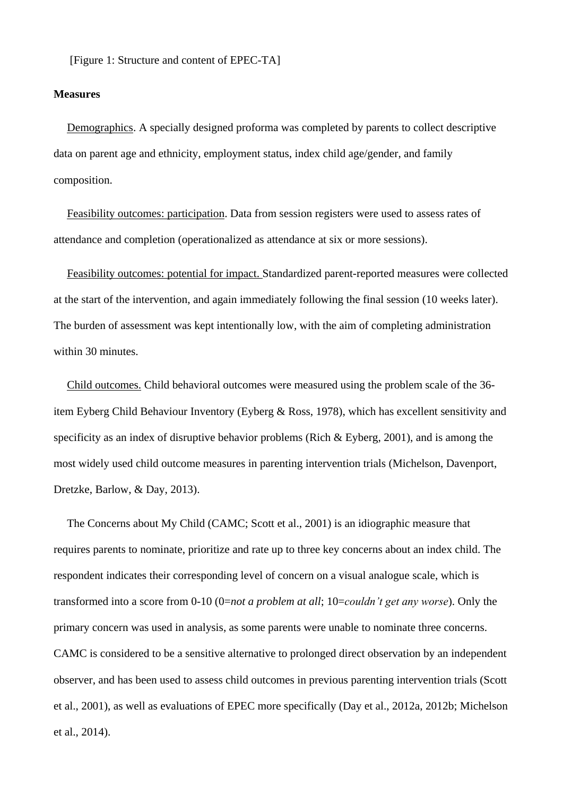[Figure 1: Structure and content of EPEC-TA]

#### **Measures**

Demographics. A specially designed proforma was completed by parents to collect descriptive data on parent age and ethnicity, employment status, index child age/gender, and family composition.

Feasibility outcomes: participation. Data from session registers were used to assess rates of attendance and completion (operationalized as attendance at six or more sessions).

Feasibility outcomes: potential for impact. Standardized parent-reported measures were collected at the start of the intervention, and again immediately following the final session (10 weeks later). The burden of assessment was kept intentionally low, with the aim of completing administration within 30 minutes.

Child outcomes. Child behavioral outcomes were measured using the problem scale of the 36 item Eyberg Child Behaviour Inventory (Eyberg & Ross, 1978), which has excellent sensitivity and specificity as an index of disruptive behavior problems (Rich & Eyberg, 2001), and is among the most widely used child outcome measures in parenting intervention trials (Michelson, Davenport, Dretzke, Barlow, & Day, 2013).

The Concerns about My Child (CAMC; Scott et al., 2001) is an idiographic measure that requires parents to nominate, prioritize and rate up to three key concerns about an index child. The respondent indicates their corresponding level of concern on a visual analogue scale, which is transformed into a score from 0-10 (0=*not a problem at all*; 10=*couldn't get any worse*). Only the primary concern was used in analysis, as some parents were unable to nominate three concerns. CAMC is considered to be a sensitive alternative to prolonged direct observation by an independent observer, and has been used to assess child outcomes in previous parenting intervention trials (Scott et al., 2001), as well as evaluations of EPEC more specifically (Day et al., 2012a, 2012b; Michelson et al., 2014).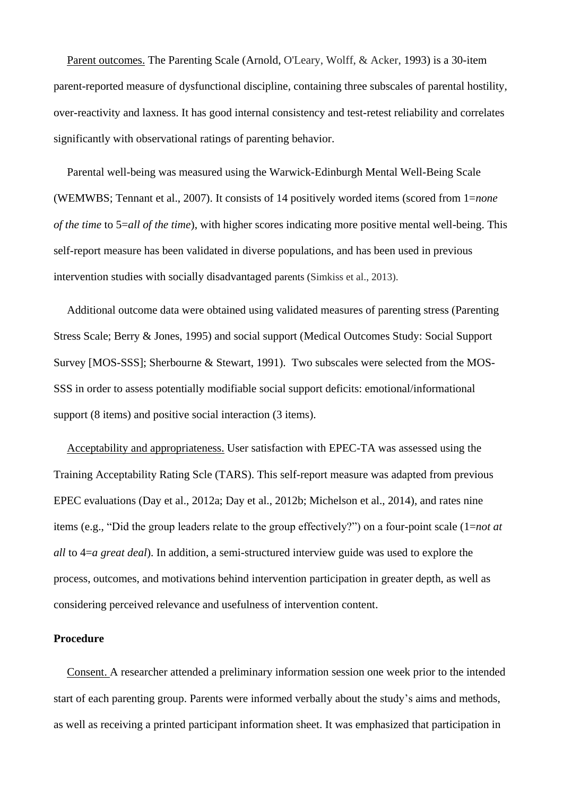Parent outcomes. The Parenting Scale (Arnold, O'Leary, Wolff, & Acker, 1993) is a 30-item parent-reported measure of dysfunctional discipline, containing three subscales of parental hostility, over-reactivity and laxness. It has good internal consistency and test-retest reliability and correlates significantly with observational ratings of parenting behavior.

Parental well-being was measured using the Warwick-Edinburgh Mental Well-Being Scale (WEMWBS; Tennant et al., 2007). It consists of 14 positively worded items (scored from 1=*none of the time* to 5=*all of the time*), with higher scores indicating more positive mental well-being. This self-report measure has been validated in diverse populations, and has been used in previous intervention studies with socially disadvantaged parents (Simkiss et al., 2013).

Additional outcome data were obtained using validated measures of parenting stress (Parenting Stress Scale; Berry & Jones, 1995) and social support (Medical Outcomes Study: Social Support Survey [MOS-SSS]; Sherbourne & Stewart, 1991). Two subscales were selected from the MOS-SSS in order to assess potentially modifiable social support deficits: emotional/informational support (8 items) and positive social interaction (3 items).

Acceptability and appropriateness. User satisfaction with EPEC-TA was assessed using the Training Acceptability Rating Scle (TARS). This self-report measure was adapted from previous EPEC evaluations (Day et al., 2012a; Day et al., 2012b; Michelson et al., 2014), and rates nine items (e.g., "Did the group leaders relate to the group effectively?") on a four-point scale (1=*not at all* to 4=*a great deal*). In addition, a semi-structured interview guide was used to explore the process, outcomes, and motivations behind intervention participation in greater depth, as well as considering perceived relevance and usefulness of intervention content.

# **Procedure**

Consent. A researcher attended a preliminary information session one week prior to the intended start of each parenting group. Parents were informed verbally about the study's aims and methods, as well as receiving a printed participant information sheet. It was emphasized that participation in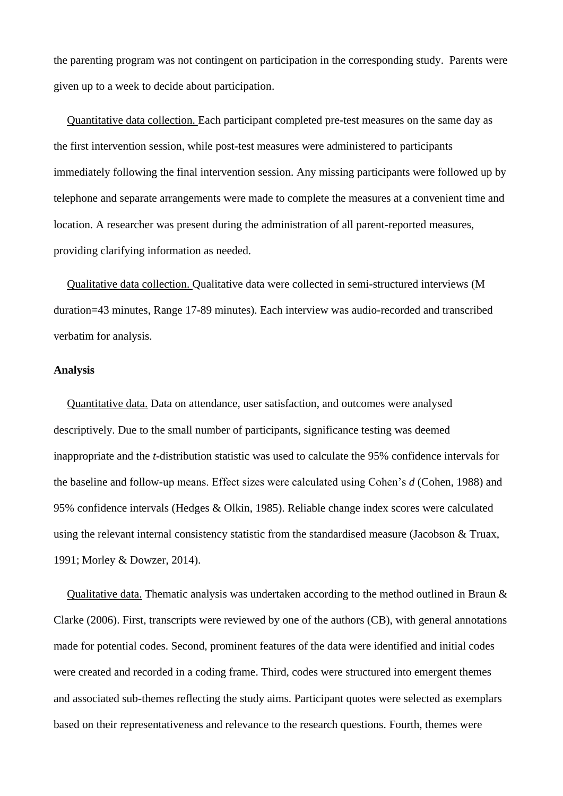the parenting program was not contingent on participation in the corresponding study. Parents were given up to a week to decide about participation.

Quantitative data collection. Each participant completed pre-test measures on the same day as the first intervention session, while post-test measures were administered to participants immediately following the final intervention session. Any missing participants were followed up by telephone and separate arrangements were made to complete the measures at a convenient time and location. A researcher was present during the administration of all parent-reported measures, providing clarifying information as needed.

Qualitative data collection. Qualitative data were collected in semi-structured interviews (M duration=43 minutes, Range 17-89 minutes). Each interview was audio-recorded and transcribed verbatim for analysis.

#### **Analysis**

Quantitative data. Data on attendance, user satisfaction, and outcomes were analysed descriptively. Due to the small number of participants, significance testing was deemed inappropriate and the *t*-distribution statistic was used to calculate the 95% confidence intervals for the baseline and follow-up means. Effect sizes were calculated using Cohen's *d* (Cohen, 1988) and 95% confidence intervals (Hedges & Olkin, 1985). Reliable change index scores were calculated using the relevant internal consistency statistic from the standardised measure (Jacobson & Truax, 1991; Morley & Dowzer, 2014).

Qualitative data. Thematic analysis was undertaken according to the method outlined in Braun & Clarke (2006). First, transcripts were reviewed by one of the authors (CB), with general annotations made for potential codes. Second, prominent features of the data were identified and initial codes were created and recorded in a coding frame. Third, codes were structured into emergent themes and associated sub-themes reflecting the study aims. Participant quotes were selected as exemplars based on their representativeness and relevance to the research questions. Fourth, themes were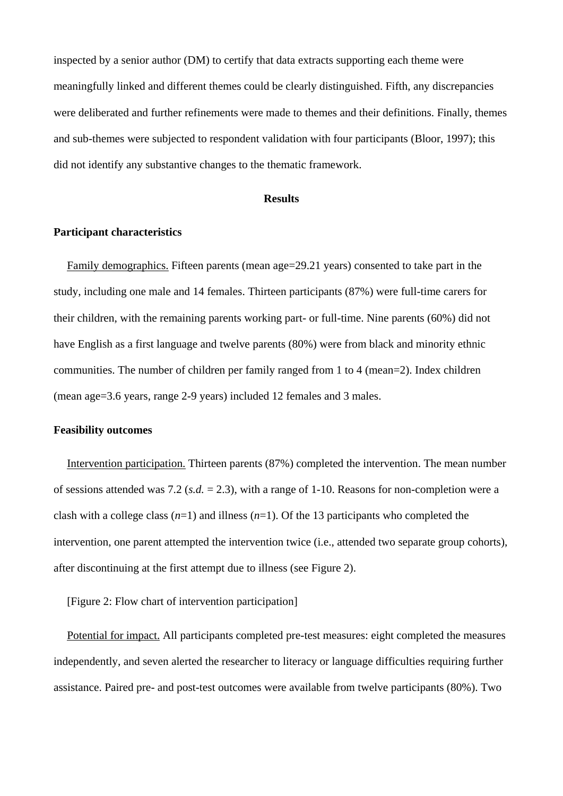inspected by a senior author (DM) to certify that data extracts supporting each theme were meaningfully linked and different themes could be clearly distinguished. Fifth, any discrepancies were deliberated and further refinements were made to themes and their definitions. Finally, themes and sub-themes were subjected to respondent validation with four participants (Bloor, 1997); this did not identify any substantive changes to the thematic framework.

# **Results**

# **Participant characteristics**

Family demographics. Fifteen parents (mean age=29.21 years) consented to take part in the study, including one male and 14 females. Thirteen participants (87%) were full-time carers for their children, with the remaining parents working part- or full-time. Nine parents (60%) did not have English as a first language and twelve parents (80%) were from black and minority ethnic communities. The number of children per family ranged from 1 to 4 (mean=2). Index children (mean age=3.6 years, range 2-9 years) included 12 females and 3 males.

# **Feasibility outcomes**

Intervention participation. Thirteen parents (87%) completed the intervention. The mean number of sessions attended was 7.2 (*s.d.* = 2.3), with a range of 1-10. Reasons for non-completion were a clash with a college class  $(n=1)$  and illness  $(n=1)$ . Of the 13 participants who completed the intervention, one parent attempted the intervention twice (i.e., attended two separate group cohorts), after discontinuing at the first attempt due to illness (see Figure 2).

[Figure 2: Flow chart of intervention participation]

Potential for impact. All participants completed pre-test measures: eight completed the measures independently, and seven alerted the researcher to literacy or language difficulties requiring further assistance. Paired pre- and post-test outcomes were available from twelve participants (80%). Two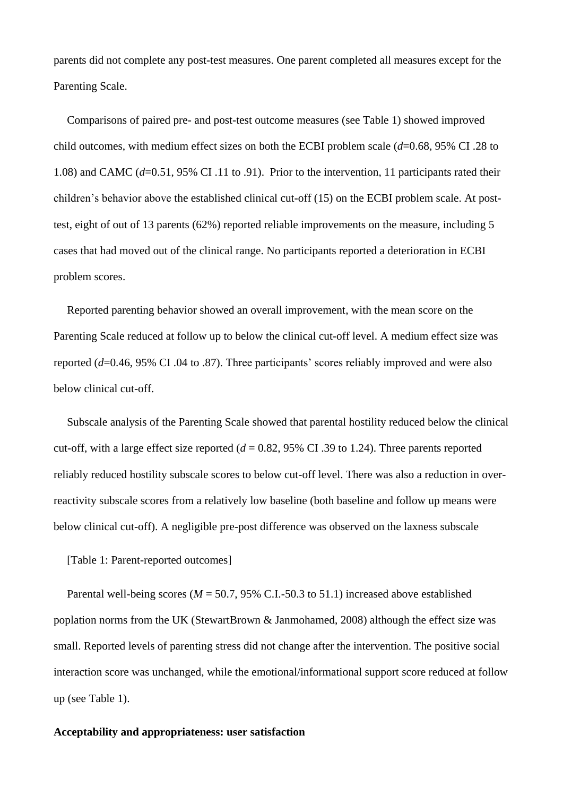parents did not complete any post-test measures. One parent completed all measures except for the Parenting Scale.

Comparisons of paired pre- and post-test outcome measures (see Table 1) showed improved child outcomes, with medium effect sizes on both the ECBI problem scale (*d*=0.68, 95% CI .28 to 1.08) and CAMC (*d*=0.51, 95% CI .11 to .91). Prior to the intervention, 11 participants rated their children's behavior above the established clinical cut-off (15) on the ECBI problem scale. At posttest, eight of out of 13 parents (62%) reported reliable improvements on the measure, including 5 cases that had moved out of the clinical range. No participants reported a deterioration in ECBI problem scores.

Reported parenting behavior showed an overall improvement, with the mean score on the Parenting Scale reduced at follow up to below the clinical cut-off level. A medium effect size was reported (*d*=0.46, 95% CI .04 to .87). Three participants' scores reliably improved and were also below clinical cut-off.

Subscale analysis of the Parenting Scale showed that parental hostility reduced below the clinical cut-off, with a large effect size reported  $(d = 0.82, 95\% \text{ CI } .39 \text{ to } 1.24)$ . Three parents reported reliably reduced hostility subscale scores to below cut-off level. There was also a reduction in overreactivity subscale scores from a relatively low baseline (both baseline and follow up means were below clinical cut-off). A negligible pre-post difference was observed on the laxness subscale

[Table 1: Parent-reported outcomes]

Parental well-being scores ( $M = 50.7$ , 95% C.I.-50.3 to 51.1) increased above established poplation norms from the UK (StewartBrown & Janmohamed, 2008) although the effect size was small. Reported levels of parenting stress did not change after the intervention. The positive social interaction score was unchanged, while the emotional/informational support score reduced at follow up (see Table 1).

#### **Acceptability and appropriateness: user satisfaction**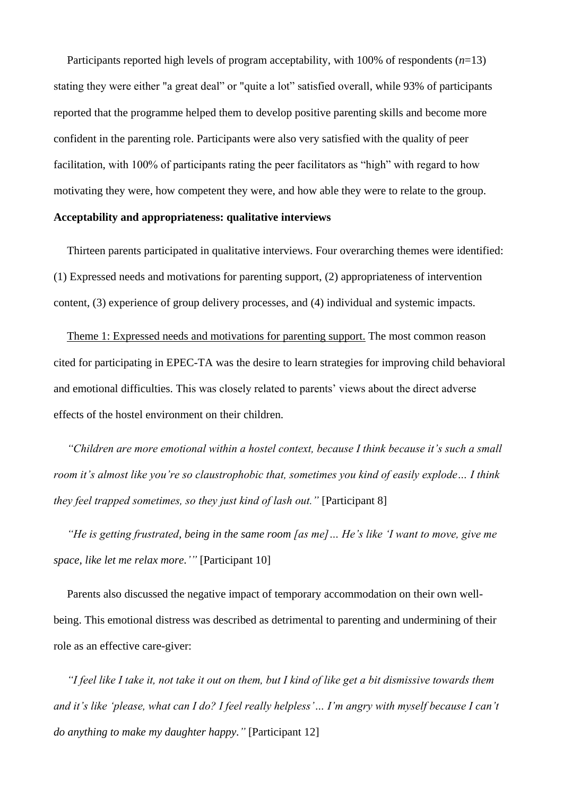Participants reported high levels of program acceptability, with 100% of respondents (*n*=13) stating they were either "a great deal" or "quite a lot" satisfied overall, while 93% of participants reported that the programme helped them to develop positive parenting skills and become more confident in the parenting role. Participants were also very satisfied with the quality of peer facilitation, with 100% of participants rating the peer facilitators as "high" with regard to how motivating they were, how competent they were, and how able they were to relate to the group.

# **Acceptability and appropriateness: qualitative interviews**

Thirteen parents participated in qualitative interviews. Four overarching themes were identified: (1) Expressed needs and motivations for parenting support, (2) appropriateness of intervention content, (3) experience of group delivery processes, and (4) individual and systemic impacts.

Theme 1: Expressed needs and motivations for parenting support. The most common reason cited for participating in EPEC-TA was the desire to learn strategies for improving child behavioral and emotional difficulties. This was closely related to parents' views about the direct adverse effects of the hostel environment on their children.

*"Children are more emotional within a hostel context, because I think because it's such a small room it's almost like you're so claustrophobic that, sometimes you kind of easily explode… I think they feel trapped sometimes, so they just kind of lash out.*" [Participant 8]

*"He is getting frustrated, being in the same room [as me]… He's like 'I want to move, give me space, like let me relax more.'"* [Participant 10]

Parents also discussed the negative impact of temporary accommodation on their own wellbeing. This emotional distress was described as detrimental to parenting and undermining of their role as an effective care-giver:

*"I feel like I take it, not take it out on them, but I kind of like get a bit dismissive towards them and it's like 'please, what can I do? I feel really helpless'… I'm angry with myself because I can't do anything to make my daughter happy."* [Participant 12]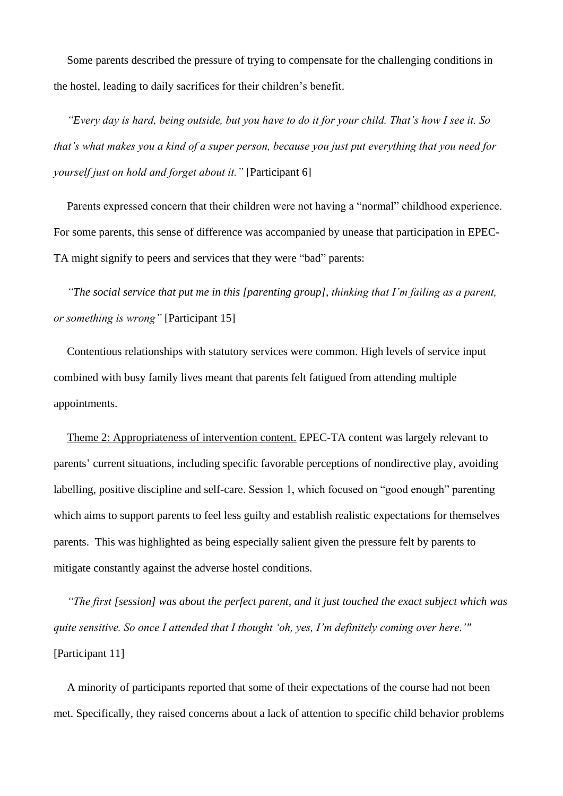Some parents described the pressure of trying to compensate for the challenging conditions in the hostel, leading to daily sacrifices for their children's benefit.

*"Every day is hard, being outside, but you have to do it for your child. That's how I see it. So that's what makes you a kind of a super person, because you just put everything that you need for yourself just on hold and forget about it."* [Participant 6]

Parents expressed concern that their children were not having a "normal" childhood experience. For some parents, this sense of difference was accompanied by unease that participation in EPEC-TA might signify to peers and services that they were "bad" parents:

*"The social service that put me in this [parenting group], thinking that I'm failing as a parent, or something is wrong"* [Participant 15]

Contentious relationships with statutory services were common. High levels of service input combined with busy family lives meant that parents felt fatigued from attending multiple appointments.

Theme 2: Appropriateness of intervention content. EPEC-TA content was largely relevant to parents' current situations, including specific favorable perceptions of nondirective play, avoiding labelling, positive discipline and self-care. Session 1, which focused on "good enough" parenting which aims to support parents to feel less guilty and establish realistic expectations for themselves parents. This was highlighted as being especially salient given the pressure felt by parents to mitigate constantly against the adverse hostel conditions.

*"The first [session] was about the perfect parent, and it just touched the exact subject which was quite sensitive. So once I attended that I thought 'oh, yes, I'm definitely coming over here.'"*  [Participant 11]

A minority of participants reported that some of their expectations of the course had not been met. Specifically, they raised concerns about a lack of attention to specific child behavior problems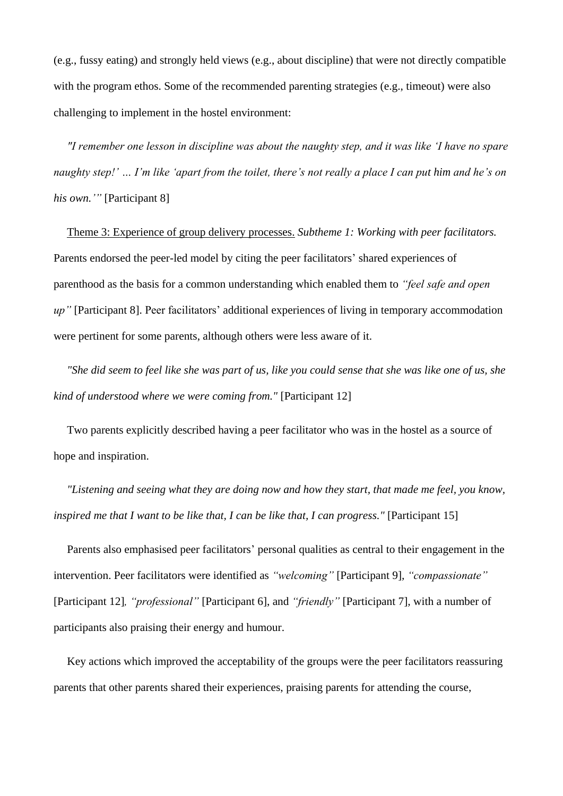(e.g., fussy eating) and strongly held views (e.g., about discipline) that were not directly compatible with the program ethos. Some of the recommended parenting strategies (e.g., timeout) were also challenging to implement in the hostel environment:

*"I remember one lesson in discipline was about the naughty step, and it was like 'I have no spare naughty step!' … I'm like 'apart from the toilet, there's not really a place I can put him and he's on his own.'"* [Participant 8]

Theme 3: Experience of group delivery processes. *Subtheme 1: Working with peer facilitators.* Parents endorsed the peer-led model by citing the peer facilitators' shared experiences of parenthood as the basis for a common understanding which enabled them to *"feel safe and open up"* [Participant 8]. Peer facilitators' additional experiences of living in temporary accommodation were pertinent for some parents, although others were less aware of it.

*"She did seem to feel like she was part of us, like you could sense that she was like one of us, she kind of understood where we were coming from."* [Participant 12]

Two parents explicitly described having a peer facilitator who was in the hostel as a source of hope and inspiration.

*"Listening and seeing what they are doing now and how they start, that made me feel, you know, inspired me that I want to be like that, I can be like that, I can progress."* [Participant 15]

Parents also emphasised peer facilitators' personal qualities as central to their engagement in the intervention. Peer facilitators were identified as *"welcoming"* [Participant 9]*, "compassionate"*  [Participant 12]*, "professional"* [Participant 6], and *"friendly"* [Participant 7]*,* with a number of participants also praising their energy and humour.

Key actions which improved the acceptability of the groups were the peer facilitators reassuring parents that other parents shared their experiences, praising parents for attending the course,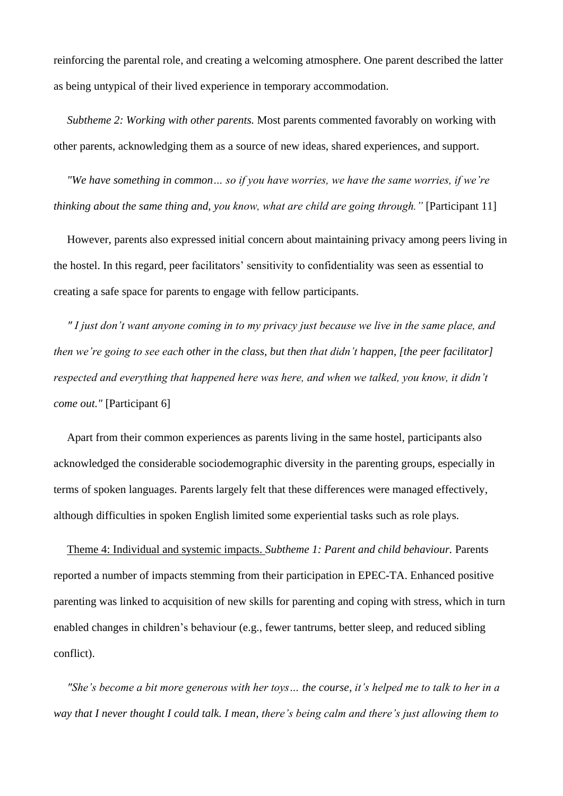reinforcing the parental role, and creating a welcoming atmosphere. One parent described the latter as being untypical of their lived experience in temporary accommodation.

*Subtheme 2: Working with other parents.* Most parents commented favorably on working with other parents, acknowledging them as a source of new ideas, shared experiences, and support.

*"We have something in common… so if you have worries, we have the same worries, if we're thinking about the same thing and, you know, what are child are going through.* " [Participant 11]

However, parents also expressed initial concern about maintaining privacy among peers living in the hostel. In this regard, peer facilitators' sensitivity to confidentiality was seen as essential to creating a safe space for parents to engage with fellow participants.

*" I just don't want anyone coming in to my privacy just because we live in the same place, and then we're going to see each other in the class, but then that didn't happen, [the peer facilitator] respected and everything that happened here was here, and when we talked, you know, it didn't come out."* [Participant 6]

Apart from their common experiences as parents living in the same hostel, participants also acknowledged the considerable sociodemographic diversity in the parenting groups, especially in terms of spoken languages. Parents largely felt that these differences were managed effectively, although difficulties in spoken English limited some experiential tasks such as role plays.

Theme 4: Individual and systemic impacts. *Subtheme 1: Parent and child behaviour.* Parents reported a number of impacts stemming from their participation in EPEC-TA. Enhanced positive parenting was linked to acquisition of new skills for parenting and coping with stress, which in turn enabled changes in children's behaviour (e.g., fewer tantrums, better sleep, and reduced sibling conflict).

*"She's become a bit more generous with her toys… the course, it's helped me to talk to her in a way that I never thought I could talk. I mean, there's being calm and there's just allowing them to*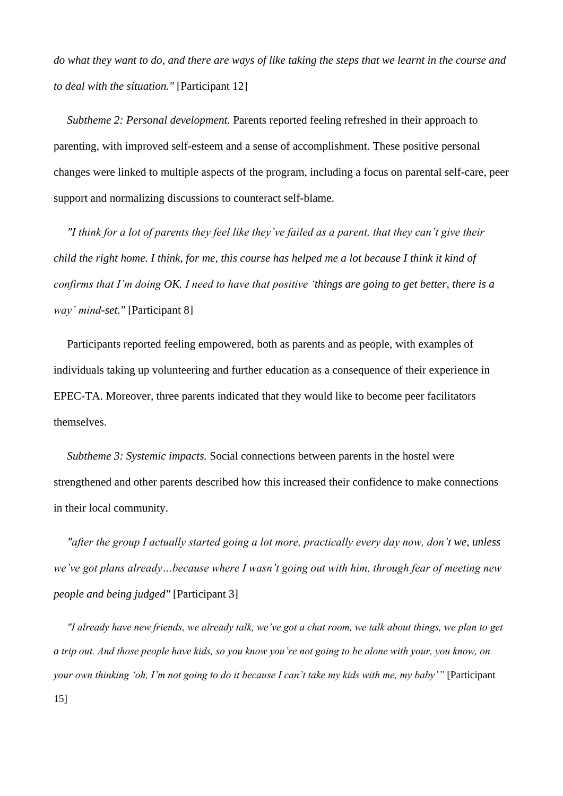*do what they want to do, and there are ways of like taking the steps that we learnt in the course and to deal with the situation."* [Participant 12]

*Subtheme 2: Personal development.* Parents reported feeling refreshed in their approach to parenting, with improved self-esteem and a sense of accomplishment. These positive personal changes were linked to multiple aspects of the program, including a focus on parental self-care, peer support and normalizing discussions to counteract self-blame.

*"I think for a lot of parents they feel like they've failed as a parent, that they can't give their child the right home. I think, for me, this course has helped me a lot because I think it kind of confirms that I'm doing OK, I need to have that positive 'things are going to get better, there is a way' mind-set."* [Participant 8]

Participants reported feeling empowered, both as parents and as people, with examples of individuals taking up volunteering and further education as a consequence of their experience in EPEC-TA. Moreover, three parents indicated that they would like to become peer facilitators themselves.

*Subtheme 3: Systemic impacts.* Social connections between parents in the hostel were strengthened and other parents described how this increased their confidence to make connections in their local community.

*"after the group I actually started going a lot more, practically every day now, don't we, unless we've got plans already…because where I wasn't going out with him, through fear of meeting new people and being judged"* [Participant 3]

*"I already have new friends, we already talk, we've got a chat room, we talk about things, we plan to get a trip out. And those people have kids, so you know you're not going to be alone with your, you know, on your own thinking 'oh, I'm not going to do it because I can't take my kids with me, my baby'"* [Participant 15]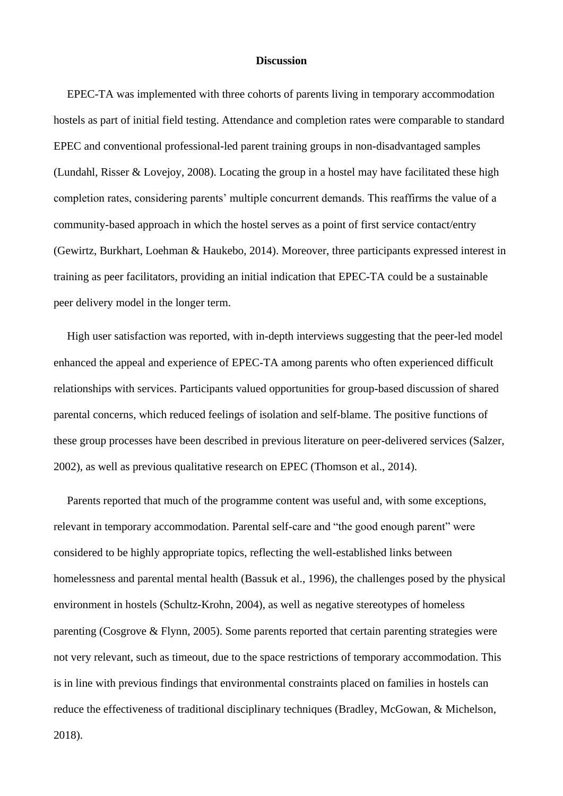#### **Discussion**

EPEC-TA was implemented with three cohorts of parents living in temporary accommodation hostels as part of initial field testing. Attendance and completion rates were comparable to standard EPEC and conventional professional-led parent training groups in non-disadvantaged samples (Lundahl, Risser & Lovejoy, 2008). Locating the group in a hostel may have facilitated these high completion rates, considering parents' multiple concurrent demands. This reaffirms the value of a community-based approach in which the hostel serves as a point of first service contact/entry (Gewirtz, Burkhart, Loehman & Haukebo, 2014). Moreover, three participants expressed interest in training as peer facilitators, providing an initial indication that EPEC-TA could be a sustainable peer delivery model in the longer term.

High user satisfaction was reported, with in-depth interviews suggesting that the peer-led model enhanced the appeal and experience of EPEC-TA among parents who often experienced difficult relationships with services. Participants valued opportunities for group-based discussion of shared parental concerns, which reduced feelings of isolation and self-blame. The positive functions of these group processes have been described in previous literature on peer-delivered services (Salzer, 2002), as well as previous qualitative research on EPEC (Thomson et al., 2014).

Parents reported that much of the programme content was useful and, with some exceptions, relevant in temporary accommodation. Parental self-care and "the good enough parent" were considered to be highly appropriate topics, reflecting the well-established links between homelessness and parental mental health (Bassuk et al., 1996), the challenges posed by the physical environment in hostels (Schultz-Krohn, 2004), as well as negative stereotypes of homeless parenting (Cosgrove & Flynn, 2005). Some parents reported that certain parenting strategies were not very relevant, such as timeout, due to the space restrictions of temporary accommodation. This is in line with previous findings that environmental constraints placed on families in hostels can reduce the effectiveness of traditional disciplinary techniques (Bradley, McGowan, & Michelson,

2018).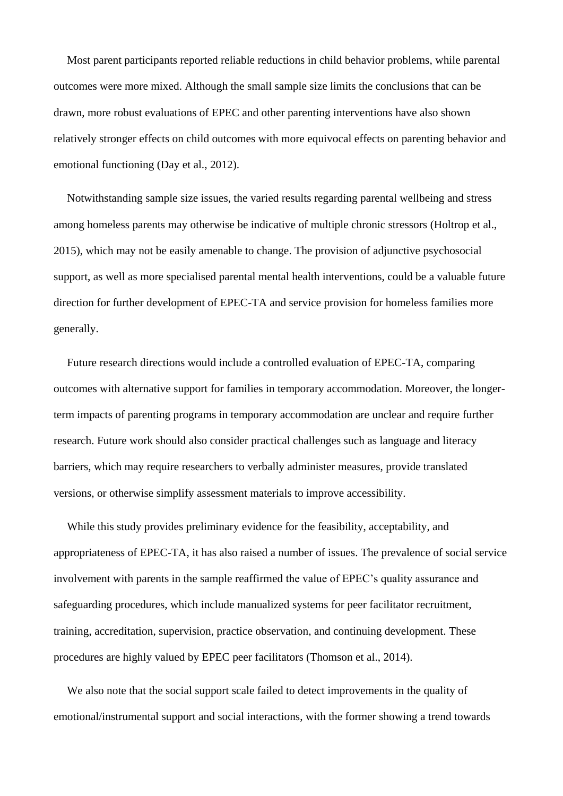Most parent participants reported reliable reductions in child behavior problems, while parental outcomes were more mixed. Although the small sample size limits the conclusions that can be drawn, more robust evaluations of EPEC and other parenting interventions have also shown relatively stronger effects on child outcomes with more equivocal effects on parenting behavior and emotional functioning (Day et al., 2012).

Notwithstanding sample size issues, the varied results regarding parental wellbeing and stress among homeless parents may otherwise be indicative of multiple chronic stressors (Holtrop et al., 2015), which may not be easily amenable to change. The provision of adjunctive psychosocial support, as well as more specialised parental mental health interventions, could be a valuable future direction for further development of EPEC-TA and service provision for homeless families more generally.

Future research directions would include a controlled evaluation of EPEC-TA, comparing outcomes with alternative support for families in temporary accommodation. Moreover, the longerterm impacts of parenting programs in temporary accommodation are unclear and require further research. Future work should also consider practical challenges such as language and literacy barriers, which may require researchers to verbally administer measures, provide translated versions, or otherwise simplify assessment materials to improve accessibility.

While this study provides preliminary evidence for the feasibility, acceptability, and appropriateness of EPEC-TA, it has also raised a number of issues. The prevalence of social service involvement with parents in the sample reaffirmed the value of EPEC's quality assurance and safeguarding procedures, which include manualized systems for peer facilitator recruitment, training, accreditation, supervision, practice observation, and continuing development. These procedures are highly valued by EPEC peer facilitators (Thomson et al., 2014).

We also note that the social support scale failed to detect improvements in the quality of emotional/instrumental support and social interactions, with the former showing a trend towards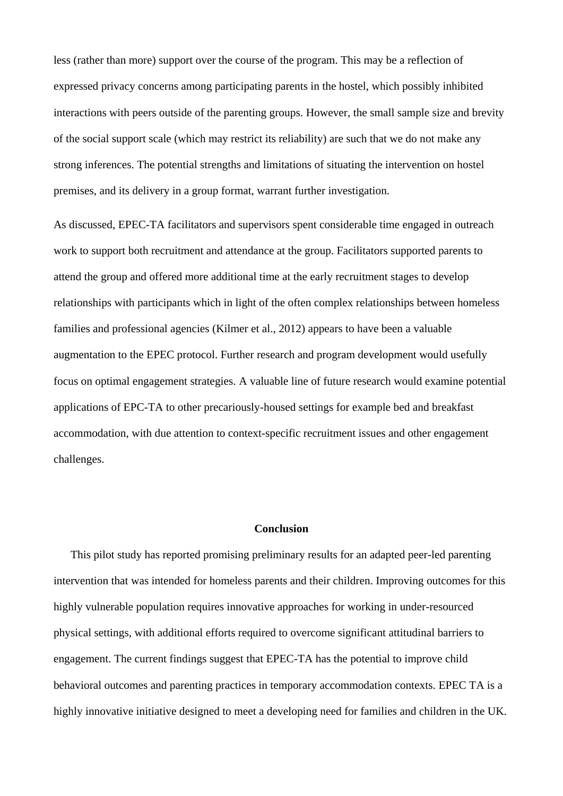less (rather than more) support over the course of the program. This may be a reflection of expressed privacy concerns among participating parents in the hostel, which possibly inhibited interactions with peers outside of the parenting groups. However, the small sample size and brevity of the social support scale (which may restrict its reliability) are such that we do not make any strong inferences. The potential strengths and limitations of situating the intervention on hostel premises, and its delivery in a group format, warrant further investigation.

As discussed, EPEC-TA facilitators and supervisors spent considerable time engaged in outreach work to support both recruitment and attendance at the group. Facilitators supported parents to attend the group and offered more additional time at the early recruitment stages to develop relationships with participants which in light of the often complex relationships between homeless families and professional agencies (Kilmer et al., 2012) appears to have been a valuable augmentation to the EPEC protocol. Further research and program development would usefully focus on optimal engagement strategies. A valuable line of future research would examine potential applications of EPC-TA to other precariously-housed settings for example bed and breakfast accommodation, with due attention to context-specific recruitment issues and other engagement challenges.

#### **Conclusion**

This pilot study has reported promising preliminary results for an adapted peer-led parenting intervention that was intended for homeless parents and their children. Improving outcomes for this highly vulnerable population requires innovative approaches for working in under-resourced physical settings, with additional efforts required to overcome significant attitudinal barriers to engagement. The current findings suggest that EPEC-TA has the potential to improve child behavioral outcomes and parenting practices in temporary accommodation contexts. EPEC TA is a highly innovative initiative designed to meet a developing need for families and children in the UK.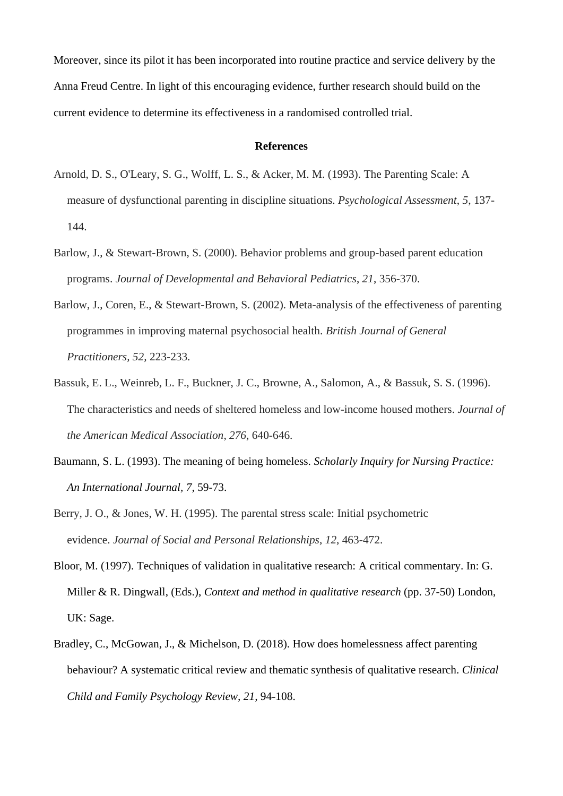Moreover, since its pilot it has been incorporated into routine practice and service delivery by the Anna Freud Centre. In light of this encouraging evidence, further research should build on the current evidence to determine its effectiveness in a randomised controlled trial.

#### **References**

- Arnold, D. S., O'Leary, S. G., Wolff, L. S., & Acker, M. M. (1993). The Parenting Scale: A measure of dysfunctional parenting in discipline situations. *Psychological Assessment*, *5*, 137- 144.
- Barlow, J., & Stewart-Brown, S. (2000). Behavior problems and group-based parent education programs. *Journal of Developmental and Behavioral Pediatrics*, *21*, 356-370.
- Barlow, J., Coren, E., & Stewart-Brown, S. (2002). Meta-analysis of the effectiveness of parenting programmes in improving maternal psychosocial health. *British Journal of General Practitioners, 52,* 223-233.
- Bassuk, E. L., Weinreb, L. F., Buckner, J. C., Browne, A., Salomon, A., & Bassuk, S. S. (1996). The characteristics and needs of sheltered homeless and low-income housed mothers. *Journal of the American Medical Association*, *276*, 640-646.
- Baumann, S. L. (1993). The meaning of being homeless. *Scholarly Inquiry for Nursing Practice: An International Journal, 7,* 59-73.
- Berry, J. O., & Jones, W. H. (1995). The parental stress scale: Initial psychometric evidence. *Journal of Social and Personal Relationships*, *12*, 463-472.
- Bloor, M. (1997). Techniques of validation in qualitative research: A critical commentary. In: G. Miller & R. Dingwall, (Eds.), *Context and method in qualitative research* (pp. 37-50) London, UK: Sage.
- Bradley, C., McGowan, J., & Michelson, D. (2018). How does homelessness affect parenting behaviour? A systematic critical review and thematic synthesis of qualitative research. *Clinical Child and Family Psychology Review, 21,* 94-108.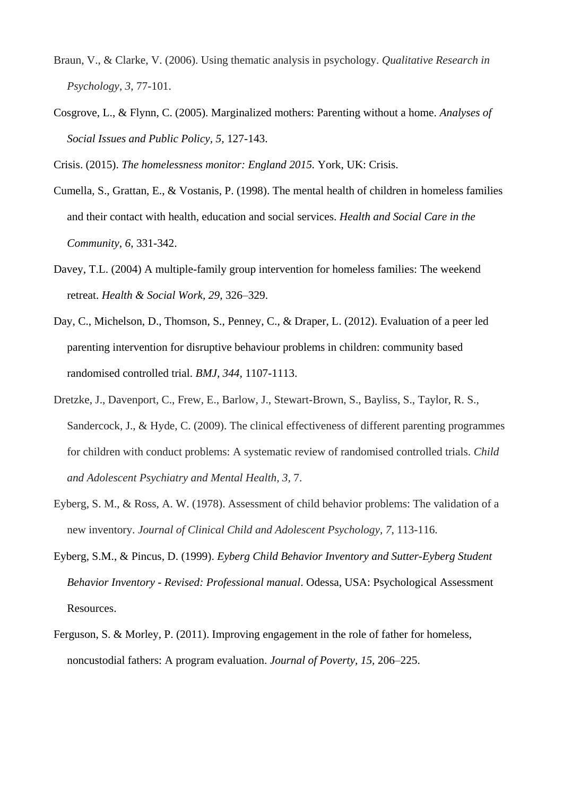- Braun, V., & Clarke, V. (2006). Using thematic analysis in psychology. *Qualitative Research in Psychology*, *3*, 77-101.
- Cosgrove, L., & Flynn, C. (2005). Marginalized mothers: Parenting without a home. *Analyses of Social Issues and Public Policy, 5,* 127-143.

Crisis. (2015). *The homelessness monitor: England 2015.* York, UK: Crisis.

- Cumella, S., Grattan, E., & Vostanis, P. (1998). The mental health of children in homeless families and their contact with health, education and social services. *Health and Social Care in the Community, 6*, 331-342.
- Davey, T.L. (2004) A multiple-family group intervention for homeless families: The weekend retreat. *Health & Social Work, 29,* 326–329.
- Day, C., Michelson, D., Thomson, S., Penney, C., & Draper, L. (2012). Evaluation of a peer led parenting intervention for disruptive behaviour problems in children: community based randomised controlled trial. *BMJ, 344,* 1107-1113.
- Dretzke, J., Davenport, C., Frew, E., Barlow, J., Stewart-Brown, S., Bayliss, S., Taylor, R. S., Sandercock, J., & Hyde, C. (2009). The clinical effectiveness of different parenting programmes for children with conduct problems: A systematic review of randomised controlled trials. *Child and Adolescent Psychiatry and Mental Health, 3,* 7.
- Eyberg, S. M., & Ross, A. W. (1978). Assessment of child behavior problems: The validation of a new inventory. *Journal of Clinical Child and Adolescent Psychology*, *7*, 113-116.
- Eyberg, S.M., & Pincus, D. (1999). *Eyberg Child Behavior Inventory and Sutter-Eyberg Student Behavior Inventory - Revised: Professional manual*. Odessa, USA: Psychological Assessment Resources.
- Ferguson, S. & Morley, P. (2011). Improving engagement in the role of father for homeless, noncustodial fathers: A program evaluation. *Journal of Poverty, 15,* 206–225.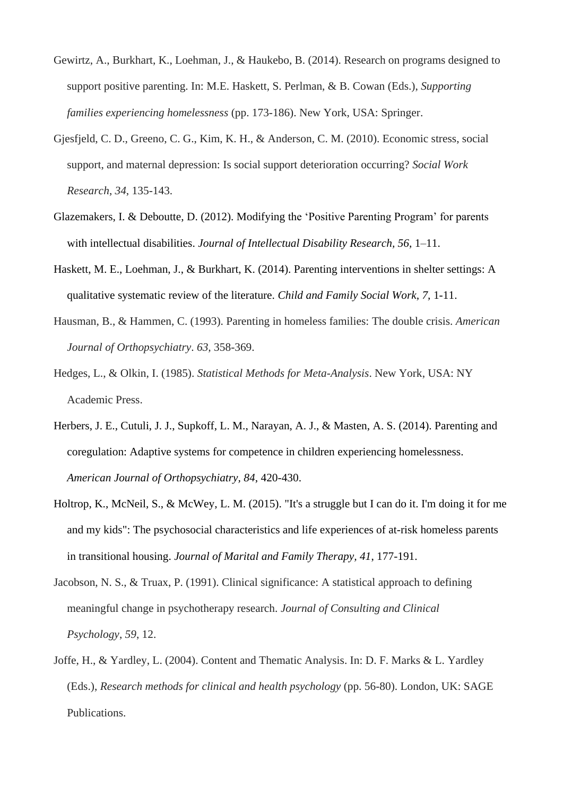- Gewirtz, A., Burkhart, K., Loehman, J., & Haukebo, B. (2014). Research on programs designed to support positive parenting. In: M.E. Haskett, S. Perlman, & B. Cowan (Eds.), *Supporting families experiencing homelessness* (pp. 173-186). New York, USA: Springer.
- Gjesfjeld, C. D., Greeno, C. G., Kim, K. H., & Anderson, C. M. (2010). Economic stress, social support, and maternal depression: Is social support deterioration occurring? *Social Work Research*, *34*, 135-143.
- Glazemakers, I. & Deboutte, D. (2012). Modifying the 'Positive Parenting Program' for parents with intellectual disabilities. *Journal of Intellectual Disability Research, 56*, 1–11.
- Haskett, M. E., Loehman, J., & Burkhart, K. (2014). Parenting interventions in shelter settings: A qualitative systematic review of the literature. *Child and Family Social Work, 7,* 1-11.
- Hausman, B., & Hammen, C. (1993). Parenting in homeless families: The double crisis. *American Journal of Orthopsychiatry*. *63,* 358-369.
- Hedges, L., & Olkin, I. (1985). *Statistical Methods for Meta-Analysis*. New York, USA: NY Academic Press.
- Herbers, J. E., Cutuli, J. J., Supkoff, L. M., Narayan, A. J., & Masten, A. S. (2014). Parenting and coregulation: Adaptive systems for competence in children experiencing homelessness. *American Journal of Orthopsychiatry, 84*, 420-430.
- Holtrop, K., McNeil, S., & McWey, L. M. (2015). "It's a struggle but I can do it. I'm doing it for me and my kids": The psychosocial characteristics and life experiences of at-risk homeless parents in transitional housing. *Journal of Marital and Family Therapy, 41*, 177-191.
- Jacobson, N. S., & Truax, P. (1991). Clinical significance: A statistical approach to defining meaningful change in psychotherapy research. *Journal of Consulting and Clinical Psychology*, *59*, 12.
- Joffe, H., & Yardley, L. (2004). Content and Thematic Analysis. In: D. F. Marks & L. Yardley (Eds.), *Research methods for clinical and health psychology* (pp. 56-80). London, UK: SAGE Publications.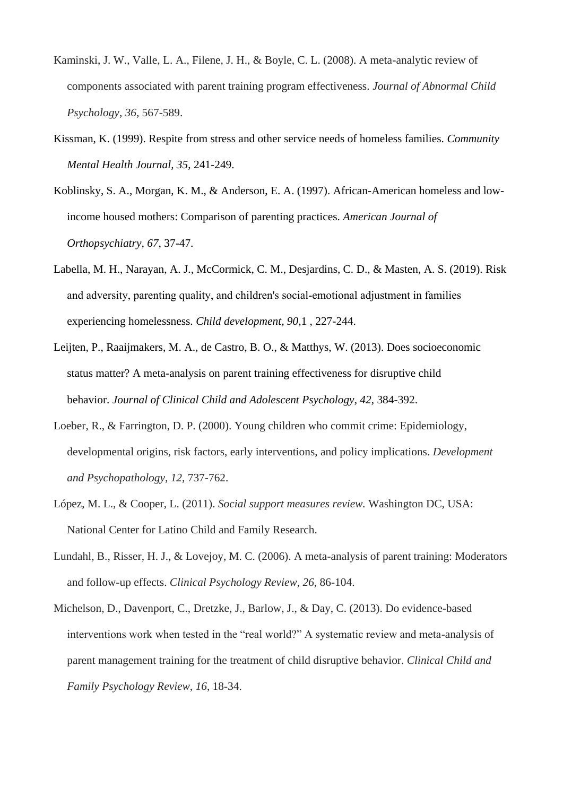- Kaminski, J. W., Valle, L. A., Filene, J. H., & Boyle, C. L. (2008). A meta-analytic review of components associated with parent training program effectiveness. *Journal of Abnormal Child Psychology*, *36*, 567-589.
- Kissman, K. (1999). Respite from stress and other service needs of homeless families. *Community Mental Health Journal, 35*, 241-249.
- Koblinsky, S. A., Morgan, K. M., & Anderson, E. A. (1997). African-American homeless and lowincome housed mothers: Comparison of parenting practices. *American Journal of Orthopsychiatry, 67*, 37-47.
- Labella, M. H., Narayan, A. J., McCormick, C. M., Desjardins, C. D., & Masten, A. S. (2019). Risk and adversity, parenting quality, and children's social-emotional adjustment in families experiencing homelessness. *Child development*, *90*,1 , 227-244.
- Leijten, P., Raaijmakers, M. A., de Castro, B. O., & Matthys, W. (2013). Does socioeconomic status matter? A meta-analysis on parent training effectiveness for disruptive child behavior. *Journal of Clinical Child and Adolescent Psychology*, *42*, 384-392.
- Loeber, R., & Farrington, D. P. (2000). Young children who commit crime: Epidemiology, developmental origins, risk factors, early interventions, and policy implications. *Development and Psychopathology*, *12*, 737-762.
- López, M. L., & Cooper, L. (2011). *Social support measures review.* Washington DC, USA: National Center for Latino Child and Family Research.
- Lundahl, B., Risser, H. J., & Lovejoy, M. C. (2006). A meta-analysis of parent training: Moderators and follow-up effects. *Clinical Psychology Review*, *26*, 86-104.
- Michelson, D., Davenport, C., Dretzke, J., Barlow, J., & Day, C. (2013). Do evidence-based interventions work when tested in the "real world?" A systematic review and meta-analysis of parent management training for the treatment of child disruptive behavior. *Clinical Child and Family Psychology Review*, *16*, 18-34.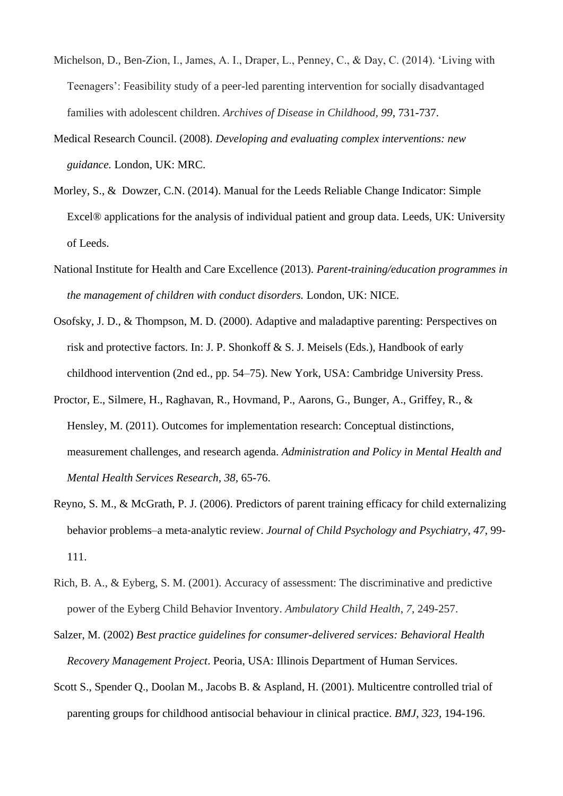- Michelson, D., Ben-Zion, I., James, A. I., Draper, L., Penney, C., & Day, C. (2014). 'Living with Teenagers': Feasibility study of a peer-led parenting intervention for socially disadvantaged families with adolescent children. *Archives of Disease in Childhood*, *99,* 731-737.
- Medical Research Council. (2008). *Developing and evaluating complex interventions: new guidance.* London, UK: MRC.
- Morley, S., & Dowzer, C.N. (2014). Manual for the Leeds Reliable Change Indicator: Simple Excel® applications for the analysis of individual patient and group data. Leeds, UK: University of Leeds.
- National Institute for Health and Care Excellence (2013). *Parent-training/education programmes in the management of children with conduct disorders.* London, UK: NICE.
- Osofsky, J. D., & Thompson, M. D. (2000). Adaptive and maladaptive parenting: Perspectives on risk and protective factors. In: J. P. Shonkoff & S. J. Meisels (Eds.), Handbook of early childhood intervention (2nd ed., pp. 54–75). New York, USA: Cambridge University Press.
- Proctor, E., Silmere, H., Raghavan, R., Hovmand, P., Aarons, G., Bunger, A., Griffey, R., & Hensley, M. (2011). Outcomes for implementation research: Conceptual distinctions, measurement challenges, and research agenda. *Administration and Policy in Mental Health and Mental Health Services Research, 38,* 65-76.
- Reyno, S. M., & McGrath, P. J. (2006). Predictors of parent training efficacy for child externalizing behavior problems–a meta‐analytic review. *Journal of Child Psychology and Psychiatry*, *47*, 99- 111.
- Rich, B. A., & Eyberg, S. M. (2001). Accuracy of assessment: The discriminative and predictive power of the Eyberg Child Behavior Inventory. *Ambulatory Child Health*, *7*, 249-257.
- Salzer, M. (2002) *Best practice guidelines for consumer-delivered services: Behavioral Health Recovery Management Project*. Peoria, USA: Illinois Department of Human Services.
- Scott S., Spender Q., Doolan M., Jacobs B. & Aspland, H. (2001). Multicentre controlled trial of parenting groups for childhood antisocial behaviour in clinical practice. *BMJ, 323,* 194-196.